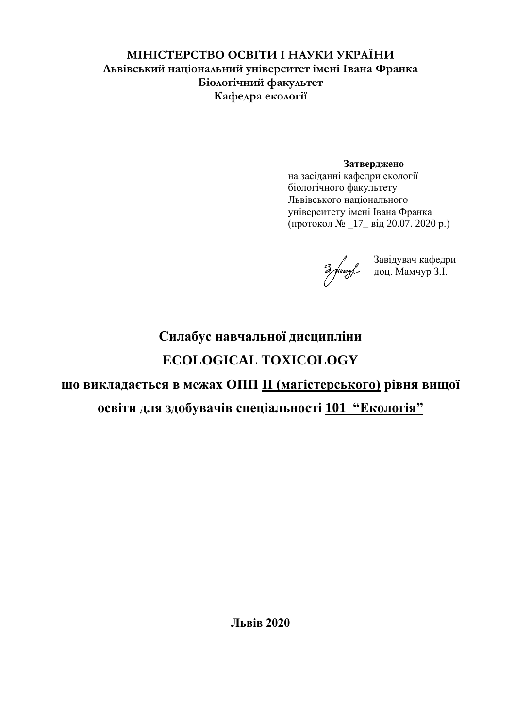#### **МІНІСТЕРСТВО ОСВІТИ І НАУКИ УКРАЇНИ Львівський національний університет імені Івана Франка Біологічний факультет Кафедра екології**

#### **Затверджено**

на засіданні кафедри екології біологічного факультету Львівського національного університету імені Івана Франка (протокол № \_17\_ від 20.07. 2020 р.)

Завідувач кафедри доц. Мамчур З.І.

# **Силабус навчальної дисципліни ECOLOGICAL TOXICOLOGY**

# **що викладається в межах ОПП ІІ (магістерського) рівня вищої**

# **освіти для здобувачів спеціальності 101 "Екологія"**

**Львів 2020**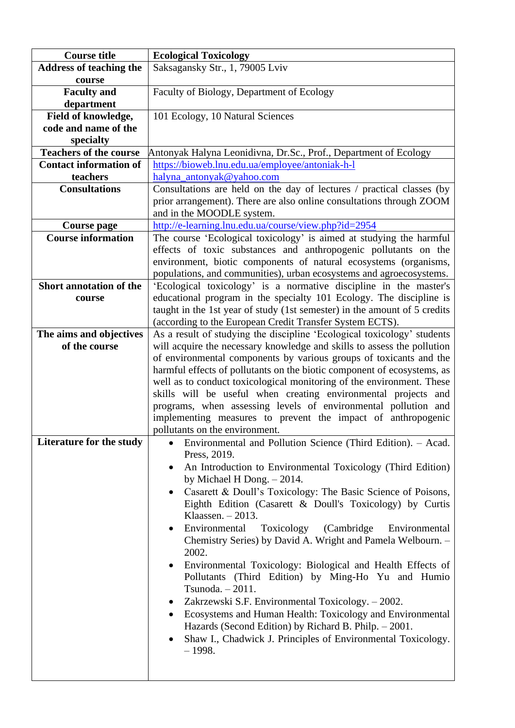| <b>Course title</b>            | <b>Ecological Toxicology</b>                                              |  |  |  |
|--------------------------------|---------------------------------------------------------------------------|--|--|--|
| <b>Address of teaching the</b> | Saksagansky Str., 1, 79005 Lviv                                           |  |  |  |
| course                         |                                                                           |  |  |  |
|                                |                                                                           |  |  |  |
| <b>Faculty</b> and             | Faculty of Biology, Department of Ecology                                 |  |  |  |
| department                     |                                                                           |  |  |  |
| Field of knowledge,            | 101 Ecology, 10 Natural Sciences                                          |  |  |  |
| code and name of the           |                                                                           |  |  |  |
| specialty                      |                                                                           |  |  |  |
| <b>Teachers of the course</b>  | Antonyak Halyna Leonidivna, Dr.Sc., Prof., Department of Ecology          |  |  |  |
| <b>Contact information of</b>  | https://bioweb.lnu.edu.ua/employee/antoniak-h-l                           |  |  |  |
| teachers                       | halyna_antonyak@yahoo.com                                                 |  |  |  |
| <b>Consultations</b>           | Consultations are held on the day of lectures / practical classes (by     |  |  |  |
|                                | prior arrangement). There are also online consultations through ZOOM      |  |  |  |
|                                | and in the MOODLE system.                                                 |  |  |  |
| <b>Course page</b>             | http://e-learning.lnu.edu.ua/course/view.php?id=2954                      |  |  |  |
| <b>Course information</b>      | The course 'Ecological toxicology' is aimed at studying the harmful       |  |  |  |
|                                | effects of toxic substances and anthropogenic pollutants on the           |  |  |  |
|                                |                                                                           |  |  |  |
|                                | environment, biotic components of natural ecosystems (organisms,          |  |  |  |
|                                | populations, and communities), urban ecosystems and agroecosystems.       |  |  |  |
| Short annotation of the        | 'Ecological toxicology' is a normative discipline in the master's         |  |  |  |
| course                         | educational program in the specialty 101 Ecology. The discipline is       |  |  |  |
|                                | taught in the 1st year of study (1st semester) in the amount of 5 credits |  |  |  |
|                                | (according to the European Credit Transfer System ECTS).                  |  |  |  |
| The aims and objectives        | As a result of studying the discipline 'Ecological toxicology' students   |  |  |  |
| of the course                  | will acquire the necessary knowledge and skills to assess the pollution   |  |  |  |
|                                | of environmental components by various groups of toxicants and the        |  |  |  |
|                                | harmful effects of pollutants on the biotic component of ecosystems, as   |  |  |  |
|                                | well as to conduct toxicological monitoring of the environment. These     |  |  |  |
|                                | skills will be useful when creating environmental projects and            |  |  |  |
|                                | programs, when assessing levels of environmental pollution and            |  |  |  |
|                                | implementing measures to prevent the impact of anthropogenic              |  |  |  |
|                                | pollutants on the environment.                                            |  |  |  |
| Literature for the study       | Environmental and Pollution Science (Third Edition). - Acad.<br>٠         |  |  |  |
|                                | Press, 2019.                                                              |  |  |  |
|                                | An Introduction to Environmental Toxicology (Third Edition)               |  |  |  |
|                                | ٠                                                                         |  |  |  |
|                                | by Michael H Dong. $-2014$ .                                              |  |  |  |
|                                | Casarett & Doull's Toxicology: The Basic Science of Poisons,<br>$\bullet$ |  |  |  |
|                                | Eighth Edition (Casarett & Doull's Toxicology) by Curtis                  |  |  |  |
|                                | Klaassen. $-2013$ .                                                       |  |  |  |
|                                | Environmental<br>Toxicology<br>(Cambridge)<br>Environmental<br>$\bullet$  |  |  |  |
|                                | Chemistry Series) by David A. Wright and Pamela Welbourn. -               |  |  |  |
|                                | 2002.                                                                     |  |  |  |
|                                | Environmental Toxicology: Biological and Health Effects of<br>$\bullet$   |  |  |  |
|                                | Pollutants (Third Edition) by Ming-Ho Yu and Humio                        |  |  |  |
| Tsunoda. $-2011$ .             |                                                                           |  |  |  |
|                                | Zakrzewski S.F. Environmental Toxicology. – 2002.<br>$\bullet$            |  |  |  |
|                                | Ecosystems and Human Health: Toxicology and Environmental<br>$\bullet$    |  |  |  |
|                                | Hazards (Second Edition) by Richard B. Philp. - 2001.                     |  |  |  |
|                                |                                                                           |  |  |  |
|                                | Shaw I., Chadwick J. Principles of Environmental Toxicology.<br>٠         |  |  |  |
|                                | $-1998.$                                                                  |  |  |  |
|                                |                                                                           |  |  |  |
|                                |                                                                           |  |  |  |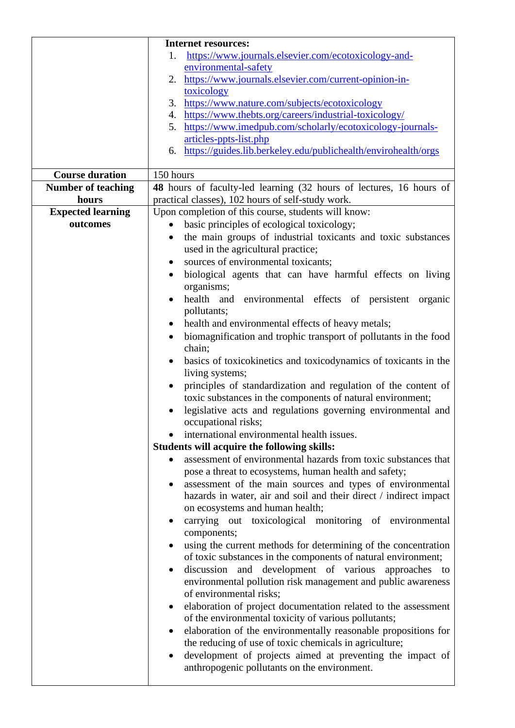|                           | <b>Internet resources:</b>                                                                                           |  |  |  |
|---------------------------|----------------------------------------------------------------------------------------------------------------------|--|--|--|
|                           | https://www.journals.elsevier.com/ecotoxicology-and-<br>1.                                                           |  |  |  |
|                           | environmental-safety                                                                                                 |  |  |  |
|                           | https://www.journals.elsevier.com/current-opinion-in-<br>2.                                                          |  |  |  |
|                           | toxicology                                                                                                           |  |  |  |
|                           | 3. https://www.nature.com/subjects/ecotoxicology                                                                     |  |  |  |
|                           | 4. https://www.thebts.org/careers/industrial-toxicology/                                                             |  |  |  |
|                           | https://www.imedpub.com/scholarly/ecotoxicology-journals-<br>5.                                                      |  |  |  |
|                           | articles-ppts-list.php<br>6. https://guides.lib.berkeley.edu/publichealth/envirohealth/orgs                          |  |  |  |
|                           |                                                                                                                      |  |  |  |
| <b>Course duration</b>    | 150 hours                                                                                                            |  |  |  |
| <b>Number of teaching</b> | 48 hours of faculty-led learning (32 hours of lectures, 16 hours of                                                  |  |  |  |
| hours                     | practical classes), 102 hours of self-study work.                                                                    |  |  |  |
| <b>Expected learning</b>  | Upon completion of this course, students will know:                                                                  |  |  |  |
| outcomes                  | basic principles of ecological toxicology;<br>$\bullet$                                                              |  |  |  |
|                           | the main groups of industrial toxicants and toxic substances<br>$\bullet$                                            |  |  |  |
|                           | used in the agricultural practice;                                                                                   |  |  |  |
|                           | sources of environmental toxicants;                                                                                  |  |  |  |
|                           | biological agents that can have harmful effects on living<br>$\bullet$                                               |  |  |  |
|                           | organisms;                                                                                                           |  |  |  |
|                           | health and environmental effects of persistent organic                                                               |  |  |  |
|                           | pollutants;                                                                                                          |  |  |  |
|                           | health and environmental effects of heavy metals;                                                                    |  |  |  |
|                           | biomagnification and trophic transport of pollutants in the food<br>$\bullet$                                        |  |  |  |
|                           | chain;                                                                                                               |  |  |  |
|                           | basics of toxicokinetics and toxicodynamics of toxicants in the<br>$\bullet$                                         |  |  |  |
|                           | living systems;                                                                                                      |  |  |  |
|                           | principles of standardization and regulation of the content of<br>$\bullet$                                          |  |  |  |
|                           | toxic substances in the components of natural environment;                                                           |  |  |  |
|                           | legislative acts and regulations governing environmental and                                                         |  |  |  |
|                           | occupational risks;                                                                                                  |  |  |  |
|                           | international environmental health issues.                                                                           |  |  |  |
|                           | <b>Students will acquire the following skills:</b><br>assessment of environmental hazards from toxic substances that |  |  |  |
|                           | pose a threat to ecosystems, human health and safety;                                                                |  |  |  |
|                           | assessment of the main sources and types of environmental<br>$\bullet$                                               |  |  |  |
|                           | hazards in water, air and soil and their direct / indirect impact                                                    |  |  |  |
|                           | on ecosystems and human health;                                                                                      |  |  |  |
|                           | carrying out toxicological monitoring of environmental<br>$\bullet$                                                  |  |  |  |
|                           | components;                                                                                                          |  |  |  |
|                           | using the current methods for determining of the concentration<br>$\bullet$                                          |  |  |  |
|                           | of toxic substances in the components of natural environment;                                                        |  |  |  |
|                           | discussion and development of various approaches to<br>$\bullet$                                                     |  |  |  |
|                           | environmental pollution risk management and public awareness                                                         |  |  |  |
|                           | of environmental risks;                                                                                              |  |  |  |
|                           | elaboration of project documentation related to the assessment<br>$\bullet$                                          |  |  |  |
|                           | of the environmental toxicity of various pollutants;                                                                 |  |  |  |
|                           | elaboration of the environmentally reasonable propositions for<br>$\bullet$                                          |  |  |  |
|                           | the reducing of use of toxic chemicals in agriculture;                                                               |  |  |  |
|                           | development of projects aimed at preventing the impact of<br>$\bullet$                                               |  |  |  |
|                           | anthropogenic pollutants on the environment.                                                                         |  |  |  |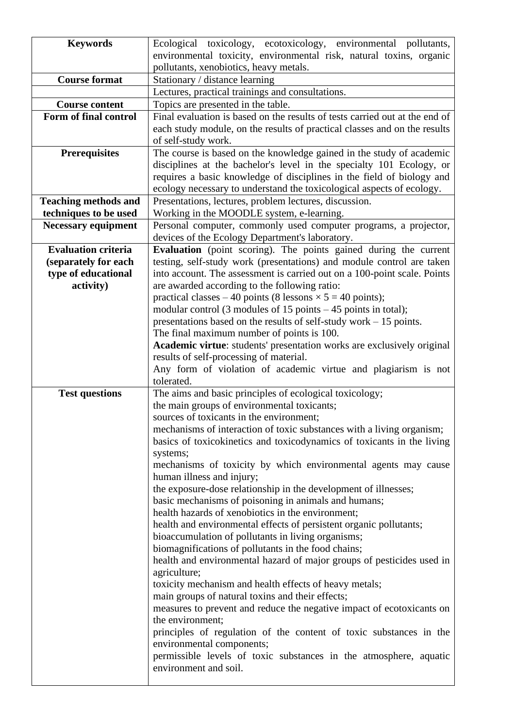| <b>Keywords</b>             | Ecological toxicology, ecotoxicology, environmental pollutants,                                            |  |  |  |  |  |
|-----------------------------|------------------------------------------------------------------------------------------------------------|--|--|--|--|--|
|                             | environmental toxicity, environmental risk, natural toxins, organic                                        |  |  |  |  |  |
|                             | pollutants, xenobiotics, heavy metals.                                                                     |  |  |  |  |  |
| <b>Course format</b>        | Stationary / distance learning                                                                             |  |  |  |  |  |
|                             | Lectures, practical trainings and consultations.                                                           |  |  |  |  |  |
| <b>Course content</b>       | Topics are presented in the table.                                                                         |  |  |  |  |  |
| Form of final control       | Final evaluation is based on the results of tests carried out at the end of                                |  |  |  |  |  |
|                             | each study module, on the results of practical classes and on the results                                  |  |  |  |  |  |
|                             | of self-study work.                                                                                        |  |  |  |  |  |
| <b>Prerequisites</b>        | The course is based on the knowledge gained in the study of academic                                       |  |  |  |  |  |
|                             | disciplines at the bachelor's level in the specialty 101 Ecology, or                                       |  |  |  |  |  |
|                             | requires a basic knowledge of disciplines in the field of biology and                                      |  |  |  |  |  |
|                             | ecology necessary to understand the toxicological aspects of ecology.                                      |  |  |  |  |  |
| <b>Teaching methods and</b> | Presentations, lectures, problem lectures, discussion.                                                     |  |  |  |  |  |
| techniques to be used       | Working in the MOODLE system, e-learning.                                                                  |  |  |  |  |  |
| <b>Necessary equipment</b>  | Personal computer, commonly used computer programs, a projector,                                           |  |  |  |  |  |
|                             | devices of the Ecology Department's laboratory.                                                            |  |  |  |  |  |
| <b>Evaluation criteria</b>  | Evaluation (point scoring). The points gained during the current                                           |  |  |  |  |  |
| (separately for each        | testing, self-study work (presentations) and module control are taken                                      |  |  |  |  |  |
| type of educational         | into account. The assessment is carried out on a 100-point scale. Points                                   |  |  |  |  |  |
| activity)                   | are awarded according to the following ratio:                                                              |  |  |  |  |  |
|                             | practical classes – 40 points (8 lessons $\times$ 5 = 40 points);                                          |  |  |  |  |  |
|                             | modular control (3 modules of 15 points $-45$ points in total);                                            |  |  |  |  |  |
|                             | presentations based on the results of self-study work - 15 points.                                         |  |  |  |  |  |
|                             | The final maximum number of points is 100.                                                                 |  |  |  |  |  |
|                             | Academic virtue: students' presentation works are exclusively original                                     |  |  |  |  |  |
|                             | results of self-processing of material.                                                                    |  |  |  |  |  |
|                             | Any form of violation of academic virtue and plagiarism is not<br>tolerated.                               |  |  |  |  |  |
| <b>Test questions</b>       | The aims and basic principles of ecological toxicology;                                                    |  |  |  |  |  |
|                             | the main groups of environmental toxicants;                                                                |  |  |  |  |  |
|                             | sources of toxicants in the environment;                                                                   |  |  |  |  |  |
|                             | mechanisms of interaction of toxic substances with a living organism;                                      |  |  |  |  |  |
|                             | basics of toxicokinetics and toxicodynamics of toxicants in the living                                     |  |  |  |  |  |
|                             | systems;                                                                                                   |  |  |  |  |  |
|                             | mechanisms of toxicity by which environmental agents may cause                                             |  |  |  |  |  |
|                             | human illness and injury;                                                                                  |  |  |  |  |  |
|                             | the exposure-dose relationship in the development of illnesses;                                            |  |  |  |  |  |
|                             | basic mechanisms of poisoning in animals and humans;                                                       |  |  |  |  |  |
|                             | health hazards of xenobiotics in the environment;                                                          |  |  |  |  |  |
|                             | health and environmental effects of persistent organic pollutants;                                         |  |  |  |  |  |
|                             | bioaccumulation of pollutants in living organisms;                                                         |  |  |  |  |  |
|                             | biomagnifications of pollutants in the food chains;                                                        |  |  |  |  |  |
|                             | health and environmental hazard of major groups of pesticides used in                                      |  |  |  |  |  |
|                             | agriculture;                                                                                               |  |  |  |  |  |
|                             | toxicity mechanism and health effects of heavy metals;<br>main groups of natural toxins and their effects; |  |  |  |  |  |
|                             | measures to prevent and reduce the negative impact of ecotoxicants on                                      |  |  |  |  |  |
|                             | the environment;                                                                                           |  |  |  |  |  |
|                             | principles of regulation of the content of toxic substances in the                                         |  |  |  |  |  |
|                             | environmental components;                                                                                  |  |  |  |  |  |
|                             | permissible levels of toxic substances in the atmosphere, aquatic                                          |  |  |  |  |  |
|                             | environment and soil.                                                                                      |  |  |  |  |  |
|                             |                                                                                                            |  |  |  |  |  |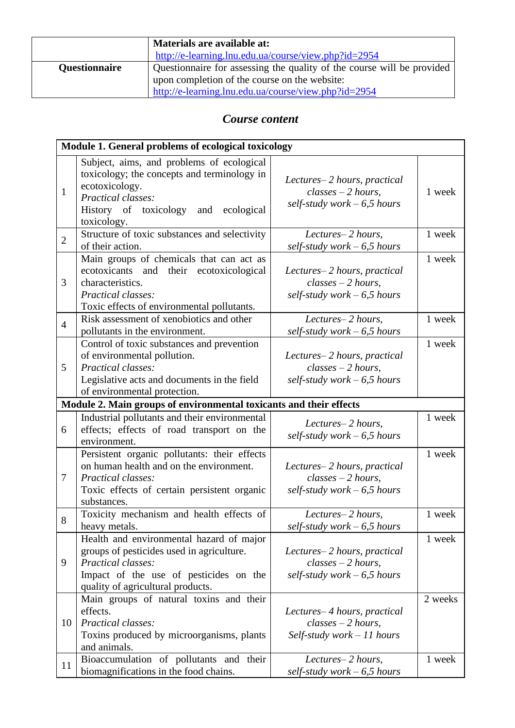|                      | Materials are available at:                                            |  |  |
|----------------------|------------------------------------------------------------------------|--|--|
|                      | http://e-learning.lnu.edu.ua/course/view.php?id=2954                   |  |  |
| <b>Questionnaire</b> | Questionnaire for assessing the quality of the course will be provided |  |  |
|                      | upon completion of the course on the website:                          |  |  |
|                      | http://e-learning.lnu.edu.ua/course/view.php?id=2954                   |  |  |

### *Course content*

|                | Module 1. General problems of ecological toxicology                                                                                                                                               |                                                                                      |         |  |  |
|----------------|---------------------------------------------------------------------------------------------------------------------------------------------------------------------------------------------------|--------------------------------------------------------------------------------------|---------|--|--|
| $\mathbf{1}$   | Subject, aims, and problems of ecological<br>toxicology; the concepts and terminology in<br>ecotoxicology.<br><b>Practical classes:</b><br>History of toxicology and<br>ecological<br>toxicology. | Lectures-2 hours, practical<br>$classes - 2 hours$<br>self-study work $-6.5$ hours   | 1 week  |  |  |
| $\overline{2}$ | Structure of toxic substances and selectivity<br>of their action.                                                                                                                                 | Lectures-2 hours,<br>self-study work $-6.5$ hours                                    | 1 week  |  |  |
| 3              | Main groups of chemicals that can act as<br>ecotoxicants and their ecotoxicological<br>characteristics.<br>Practical classes:<br>Toxic effects of environmental pollutants.                       | Lectures-2 hours, practical<br>$classes - 2 hours$ ,<br>self-study work $-6.5$ hours | 1 week  |  |  |
| $\overline{4}$ | Risk assessment of xenobiotics and other<br>pollutants in the environment.                                                                                                                        | Lectures-2 hours,<br>self-study work $-6.5$ hours                                    | 1 week  |  |  |
| 5              | Control of toxic substances and prevention<br>of environmental pollution.<br>Practical classes:<br>Legislative acts and documents in the field<br>of environmental protection.                    | Lectures-2 hours, practical<br>$classes - 2 hours$ ,<br>self-study work $-6.5$ hours | 1 week  |  |  |
|                | Module 2. Main groups of environmental toxicants and their effects                                                                                                                                |                                                                                      |         |  |  |
| 6              | Industrial pollutants and their environmental<br>effects; effects of road transport on the<br>environment.                                                                                        | Lectures-2 hours,<br>self-study work $-6.5$ hours                                    | 1 week  |  |  |
| 7              | Persistent organic pollutants: their effects<br>on human health and on the environment.<br>Practical classes:<br>Toxic effects of certain persistent organic<br>substances.                       | Lectures-2 hours, practical<br>$classes - 2 hours$ ,<br>self-study work $-6.5$ hours | 1 week  |  |  |
| 8              | Toxicity mechanism and health effects of<br>heavy metals.                                                                                                                                         | Lectures-2 hours,<br>self-study work – 6,5 hours                                     | 1 week  |  |  |
| 9              | Health and environmental hazard of major<br>groups of pesticides used in agriculture.<br>Practical classes:<br>Impact of the use of pesticides on the<br>quality of agricultural products.        | Lectures-2 hours, practical<br>$classes - 2 hours$ ,<br>self-study work $-6.5$ hours | 1 week  |  |  |
| 10             | Main groups of natural toxins and their<br>effects.<br>Practical classes:<br>Toxins produced by microorganisms, plants<br>and animals.                                                            | Lectures-4 hours, practical<br>$classes - 2 hours$<br>Self-study work $-11$ hours    | 2 weeks |  |  |
| 11             | Bioaccumulation of pollutants and their<br>biomagnifications in the food chains.                                                                                                                  | Lectures-2 hours,<br>self-study work $-6.5$ hours                                    | 1 week  |  |  |